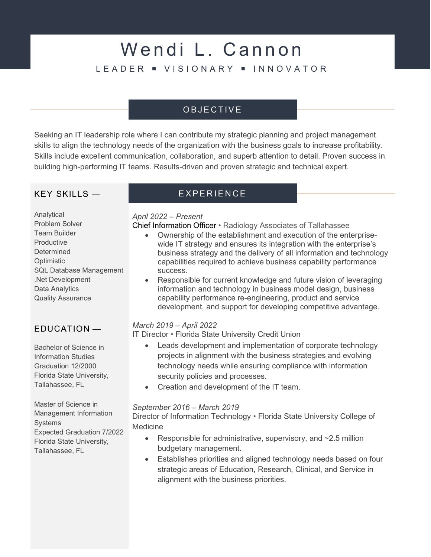# Wendi L. Cannon L E A D E R · VISIONARY · INNOVATOR

# O B J E C T I V E

Seeking an IT leadership role where I can contribute my strategic planning and project management skills to align the technology needs of the organization with the business goals to increase profitability. Skills include excellent communication, collaboration, and superb attention to detail. Proven success in building high-performing IT teams. Results-driven and proven strategic and technical expert.

## $KFY$  SKILLS  $-$

Analytical Problem Solver Team Builder **Productive** Determined **Optimistic** SQL Database Management .Net Development Data Analytics Quality Assurance

# EDUCATION —

Bachelor of Science in Information Studies Graduation 12/2000 Florida State University, Tallahassee, FL

Master of Science in Management Information **Systems** Expected Graduation 7/2022 Florida State University, Tallahassee, FL

# E X P E R I E N C E

#### April 2022 – Present

Chief Information Officer • Radiology Associates of Tallahassee

- Ownership of the establishment and execution of the enterprisewide IT strategy and ensures its integration with the enterprise's business strategy and the delivery of all information and technology capabilities required to achieve business capability performance success.
- Responsible for current knowledge and future vision of leveraging information and technology in business model design, business capability performance re-engineering, product and service development, and support for developing competitive advantage.

#### March 2019 – April 2022

IT Director • Florida State University Credit Union

- Leads development and implementation of corporate technology projects in alignment with the business strategies and evolving technology needs while ensuring compliance with information security policies and processes.
- Creation and development of the IT team.

#### September 2016 – March 2019

Director of Information Technology • Florida State University College of Medicine

- Responsible for administrative, supervisory, and  $\sim$ 2.5 million budgetary management.
- Establishes priorities and aligned technology needs based on four strategic areas of Education, Research, Clinical, and Service in alignment with the business priorities.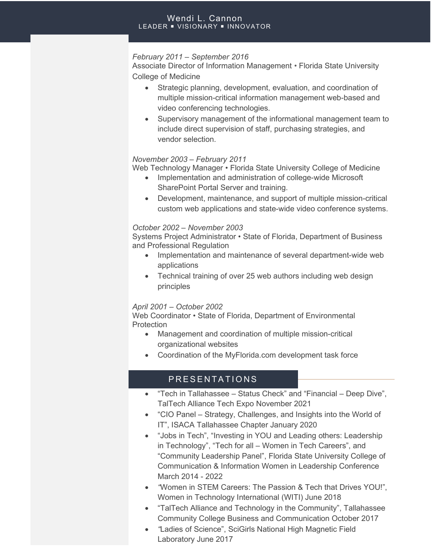#### Wendi L. Cannon LEADER · VISIONARY · INNOVATOR

#### February 2011 – September 2016

Associate Director of Information Management • Florida State University College of Medicine

- Strategic planning, development, evaluation, and coordination of multiple mission-critical information management web-based and video conferencing technologies.
- Supervisory management of the informational management team to include direct supervision of staff, purchasing strategies, and vendor selection.

#### November 2003 – February 2011

Web Technology Manager • Florida State University College of Medicine

- Implementation and administration of college-wide Microsoft SharePoint Portal Server and training.
- Development, maintenance, and support of multiple mission-critical custom web applications and state-wide video conference systems.

#### October 2002 – November 2003

Systems Project Administrator • State of Florida, Department of Business and Professional Regulation

- Implementation and maintenance of several department-wide web applications
- Technical training of over 25 web authors including web design principles

#### April 2001 – October 2002

Web Coordinator • State of Florida, Department of Environmental **Protection** 

- Management and coordination of multiple mission-critical organizational websites
- Coordination of the MyFlorida.com development task force

### PRESENTATIONS

- "Tech in Tallahassee Status Check" and "Financial Deep Dive", TalTech Alliance Tech Expo November 2021
- "CIO Panel Strategy, Challenges, and Insights into the World of IT", ISACA Tallahassee Chapter January 2020
- "Jobs in Tech", "Investing in YOU and Leading others: Leadership in Technology", "Tech for all – Women in Tech Careers", and "Community Leadership Panel", Florida State University College of Communication & Information Women in Leadership Conference March 2014 - 2022
- "Women in STEM Careers: The Passion & Tech that Drives YOU!", Women in Technology International (WITI) June 2018
- "TalTech Alliance and Technology in the Community", Tallahassee Community College Business and Communication October 2017
- "Ladies of Science", SciGirls National High Magnetic Field Laboratory June 2017